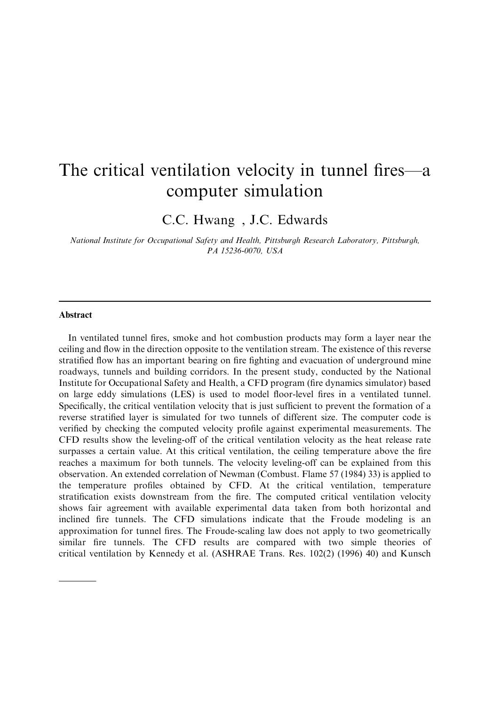# The critical ventilation velocity in tunnel fires—a computer simulation

C.C. Hwang, J.C. Edwards

National Institute for Occupational Safety and Health, Pittsburgh Research Laboratory, Pittsburgh, PA 15236-0070, USA

#### Abstract

Corresponding author

In ventilated tunnel fires, smoke and hot combustion products may form a layer near the ceiling and flow in the direction opposite to the ventilation stream. The existence of this reverse stratified flow has an important bearing on fire fighting and evacuation of underground mine roadways, tunnels and building corridors. In the present study, conducted by the National Institute for Occupational Safety and Health, a CFD program (fire dynamics simulator) based on large eddy simulations (LES) is used to model floor-level fires in a ventilated tunnel. Specifically, the critical ventilation velocity that is just sufficient to prevent the formation of a reverse stratified layer is simulated for two tunnels of different size. The computer code is verified by checking the computed velocity profile against experimental measurements. The CFD results show the leveling-off of the critical ventilation velocity as the heat release rate surpasses a certain value. At this critical ventilation, the ceiling temperature above the fire reaches a maximum for both tunnels. The velocity leveling-off can be explained from this observation. An extended correlation of Newman (Combust. Flame 57 (1984) 33) is applied to the temperature profiles obtained by CFD. At the critical ventilation, temperature stratification exists downstream from the fire. The computed critical ventilation velocity shows fair agreement with available experimental data taken from both horizontal and inclined fire tunnels. The CFD simulations indicate that the Froude modeling is an approximation for tunnel fires. The Froude-scaling law does not apply to two geometrically similar fire tunnels. The CFD results are compared with two simple theories of critical ventilation by Kennedy et al. (ASHRAE Trans. Res. 102(2) (1996) 40) and Kunsch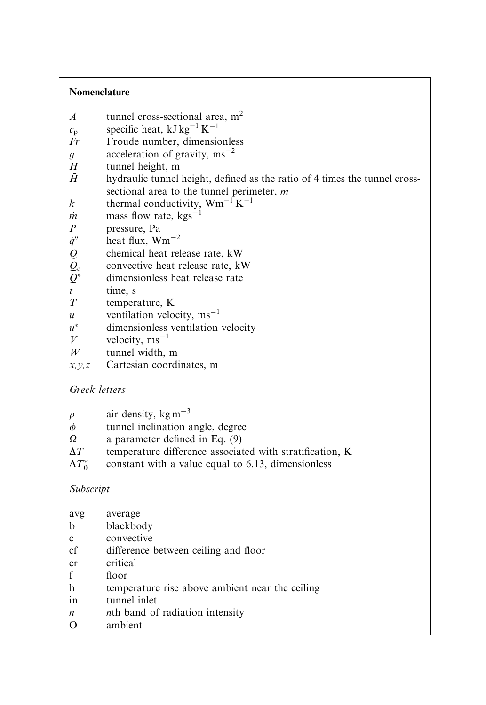### Nomenclature

- A tunnel cross-sectional area,  $m<sup>2</sup>$
- $c_p$  specific heat, kJ kg<sup>-1</sup> K<sup>-1</sup>
- Fr Froude number, dimensionless
- g acceleration of gravity,  $\text{ms}^{-2}$
- $H$  tunnel height, m<br> $\bar{H}$  hydraulic tunnel
- hydraulic tunnel height, defined as the ratio of 4 times the tunnel crosssectional area to the tunnel perimeter, m
- k thermal conductivity,  $Wm^{-1}K^{-1}$
- $\dot{m}$  mass flow rate, kgs<sup>-1</sup>
- P pressure, Pa
- $\dot{q}''$  heat flux,  $Wm^{-2}$ <br>Q chemical heat rel
- chemical heat release rate, kW
- $Q_c$  convective heat release rate, kW<br>  $Q^*$  dimensionless heat release rate
- dimensionless heat release rate
- $t$  time, s
- T temperature, K
- u ventilation velocity,  $\text{ms}^{-1}$
- $u^*$  dimensionless ventilation velocity
- $V$  velocity, ms<sup>-1</sup>
- $W$  tunnel width, m
- $x, y, z$  Cartesian coordinates, m

## Greck letters

| air density, kg m <sup><math>-3</math></sup> | $\rho$ |  |  |  |
|----------------------------------------------|--------|--|--|--|
|----------------------------------------------|--------|--|--|--|

- $\phi$  tunnel inclination angle, degree
- $\Omega$  a parameter defined in Eq. (9)
- $\Delta T$  temperature difference associated with stratification, K
- $\Delta T_0^*$ constant with a value equal to 6.13, dimensionless

## Subscript

| avg           | average                                         |
|---------------|-------------------------------------------------|
| b             | blackbody                                       |
| c             | convective                                      |
| cf            | difference between ceiling and floor            |
| <sub>cr</sub> | critical                                        |
|               | floor                                           |
| h             | temperature rise above ambient near the ceiling |
| in            | tunnel inlet                                    |
| n             | nth band of radiation intensity                 |
|               | $\cdots$ $\cdots$                               |

O ambient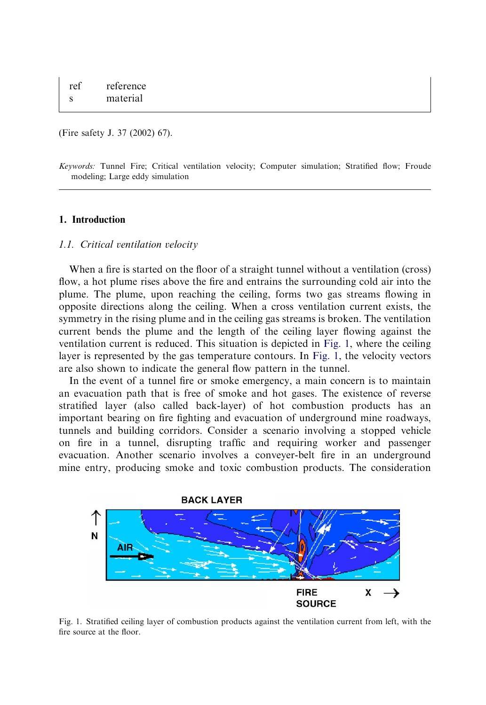(Fire safety J. 37 (2002) 67).

Keywords: Tunnel Fire; Critical ventilation velocity; Computer simulation; Stratified flow; Froude modeling; Large eddy simulation

#### 1. Introduction

#### 1.1. Critical ventilation velocity

When a fire is started on the floor of a straight tunnel without a ventilation (cross) flow, a hot plume rises above the fire and entrains the surrounding cold air into the plume. The plume, upon reaching the ceiling, forms two gas streams flowing in opposite directions along the ceiling. When a cross ventilation current exists, the symmetry in the rising plume and in the ceiling gas streams is broken. The ventilation current bends the plume and the length of the ceiling layer flowing against the ventilation current is reduced. This situation is depicted in Fig. 1, where the ceiling layer is represented by the gas temperature contours. In Fig. 1, the velocity vectors are also shown to indicate the general flow pattern in the tunnel.

In the event of a tunnel fire or smoke emergency, a main concern is to maintain an evacuation path that is free of smoke and hot gases. The existence of reverse stratified layer (also called back-layer) of hot combustion products has an important bearing on fire fighting and evacuation of underground mine roadways, tunnels and building corridors. Consider a scenario involving a stopped vehicle on fire in a tunnel, disrupting traffic and requiring worker and passenger evacuation. Another scenario involves a conveyer-belt fire in an underground mine entry, producing smoke and toxic combustion products. The consideration



Fig. 1. Stratified ceiling layer of combustion products against the ventilation current from left, with the fire source at the floor.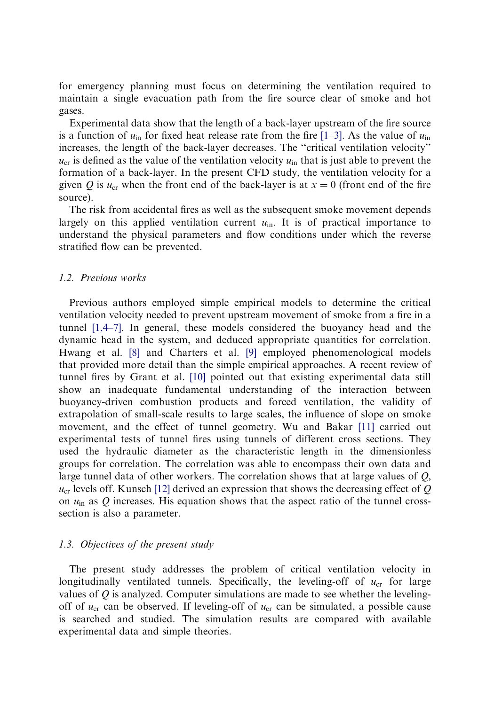for emergency planning must focus on determining the ventilation required to maintain a single evacuation path from the fire source clear of smoke and hot gases.

Experimental data show that the length of a back-layer upstream of the fire source is a function of  $u_{\text{in}}$  for fixed heat release rate from the fire [\[1–3\]](#page-30-0). As the value of  $u_{\text{in}}$ increases, the length of the back-layer decreases. The ''critical ventilation velocity''  $u_{cr}$  is defined as the value of the ventilation velocity  $u_{in}$  that is just able to prevent the formation of a back-layer. In the present CFD study, the ventilation velocity for a given Q is  $u_{cr}$  when the front end of the back-layer is at  $x = 0$  (front end of the fire source).

The risk from accidental fires as well as the subsequent smoke movement depends largely on this applied ventilation current  $u_{in}$ . It is of practical importance to understand the physical parameters and flow conditions under which the reverse stratified flow can be prevented.

#### 1.2. Previous works

Previous authors employed simple empirical models to determine the critical ventilation velocity needed to prevent upstream movement of smoke from a fire in a tunnel [\[1,4–7\].](#page-30-0) In general, these models considered the buoyancy head and the dynamic head in the system, and deduced appropriate quantities for correlation. Hwang et al. [\[8\]](#page-31-0) and Charters et al. [\[9\]](#page-31-0) employed phenomenological models that provided more detail than the simple empirical approaches. A recent review of tunnel fires by Grant et al. [\[10\]](#page-31-0) pointed out that existing experimental data still show an inadequate fundamental understanding of the interaction between buoyancy-driven combustion products and forced ventilation, the validity of extrapolation of small-scale results to large scales, the influence of slope on smoke movement, and the effect of tunnel geometry. Wu and Bakar [\[11\]](#page-31-0) carried out experimental tests of tunnel fires using tunnels of different cross sections. They used the hydraulic diameter as the characteristic length in the dimensionless groups for correlation. The correlation was able to encompass their own data and large tunnel data of other workers. The correlation shows that at large values of Q;  $u_{cr}$  levels off. Kunsch [\[12\]](#page-31-0) derived an expression that shows the decreasing effect of Q on  $u_{\text{in}}$  as Q increases. His equation shows that the aspect ratio of the tunnel crosssection is also a parameter.

#### 1.3. Objectives of the present study

The present study addresses the problem of critical ventilation velocity in longitudinally ventilated tunnels. Specifically, the leveling-off of  $u_{cr}$  for large values of  $Q$  is analyzed. Computer simulations are made to see whether the levelingoff of  $u_{\rm cr}$  can be observed. If leveling-off of  $u_{\rm cr}$  can be simulated, a possible cause is searched and studied. The simulation results are compared with available experimental data and simple theories.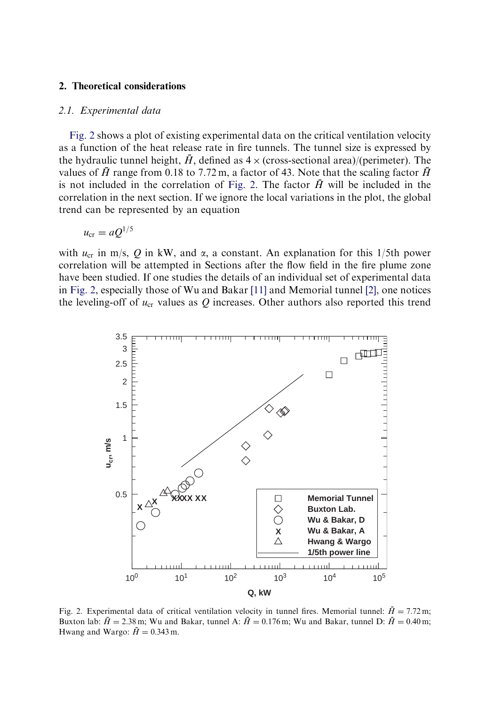#### <span id="page-4-0"></span>2. Theoretical considerations

#### 2.1. Experimental data

Fig. 2 shows a plot of existing experimental data on the critical ventilation velocity as a function of the heat release rate in fire tunnels. The tunnel size is expressed by the hydraulic tunnel height,  $\tilde{H}$ , defined as  $4 \times$  (cross-sectional area)/(perimeter). The values of  $\bar{H}$  range from 0.18 to 7.72 m, a factor of 43. Note that the scaling factor  $\bar{H}$ is not included in the correlation of Fig. 2. The factor  $\bar{H}$  will be included in the correlation in the next section. If we ignore the local variations in the plot, the global trend can be represented by an equation

$$
u_{\rm cr}=aQ^{1/5}
$$

with  $u_{cr}$  in m/s, Q in kW, and  $\alpha$ , a constant. An explanation for this 1/5th power correlation will be attempted in Sections after the flow field in the fire plume zone have been studied. If one studies the details of an individual set of experimental data in Fig. 2, especially those of Wu and Bakar [\[11\]](#page-31-0) and Memorial tunnel [\[2\],](#page-30-0) one notices the leveling-off of  $u_{cr}$  values as  $Q$  increases. Other authors also reported this trend



Fig. 2. Experimental data of critical ventilation velocity in tunnel fires. Memorial tunnel:  $\bar{H} = 7.72$  m; Buxton lab:  $\bar{H} = 2.38$  m; Wu and Bakar, tunnel A:  $\bar{H} = 0.176$  m; Wu and Bakar, tunnel D:  $\bar{H} = 0.40$  m; Hwang and Wargo:  $\bar{H} = 0.343$  m.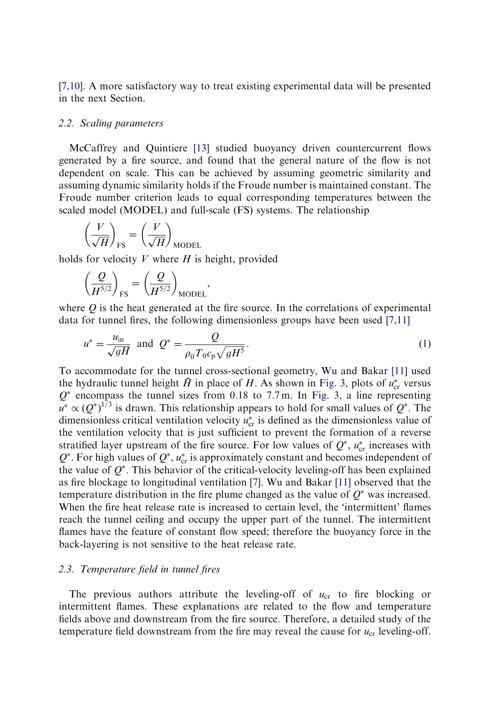[\[7,10\].](#page-31-0) A more satisfactory way to treat existing experimental data will be presented in the next Section.

#### 2.2. Scaling parameters

McCaffrey and Quintiere [\[13\]](#page-31-0) studied buoyancy driven countercurrent flows generated by a fire source, and found that the general nature of the flow is not dependent on scale. This can be achieved by assuming geometric similarity and assuming dynamic similarity holds if the Froude number is maintained constant. The Froude number criterion leads to equal corresponding temperatures between the scaled model (MODEL) and full-scale (FS) systems. The relationship

$$
\left(\frac{V}{\sqrt{H}}\right)_{\text{FS}} = \left(\frac{V}{\sqrt{H}}\right)_{\text{MODEL}}
$$

holds for velocity  $V$  where  $H$  is height, provided

$$
\left(\!\frac{\mathcal{Q}}{H^{5/2}}\!\right)_\text{FS}=\left(\!\frac{\mathcal{Q}}{H^{5/2}}\!\right)_\text{MODEL}
$$

where  $Q$  is the heat generated at the fire source. In the correlations of experimental data for tunnel fires, the following dimensionless groups have been used [\[7,11\]](#page-31-0)

;

$$
u^* = \frac{u_{\text{in}}}{\sqrt{gH}}
$$
 and  $Q^* = \frac{Q}{\rho_0 T_0 c_p \sqrt{gH^5}}$ . (1)

To accommodate for the tunnel cross-sectional geometry, Wu and Bakar [\[11\]](#page-31-0) used the hydraulic tunnel height  $\bar{H}$  in place of H. As shown in [Fig. 3,](#page-6-0) plots of  $u_{cr}^*$  versus  $Q^*$  encompass the tunnel sizes from 0.18 to 7.7 m. In [Fig. 3,](#page-6-0) a line representing  $u^* \propto (Q^*)^{1/3}$  is drawn. This relationship appears to hold for small values of  $Q^*$ . The dimensionless critical ventilation velocity  $u_{\rm cr}^*$  is defined as the dimensionless value of the ventilation velocity that is just sufficient to prevent the formation of a reverse stratified layer upstream of the fire source. For low values of  $Q^*$ ,  $u_{cr}^*$  increases with  $Q^*$ . For high values of  $Q^*$ ,  $u_{cr}^*$  is approximately constant and becomes independent of the value of  $Q^*$ . This behavior of the critical-velocity leveling-off has been explained as fire blockage to longitudinal ventilation [\[7\]](#page-31-0). Wu and Bakar [\[11\]](#page-31-0) observed that the temperature distribution in the fire plume changed as the value of  $O^*$  was increased. When the fire heat release rate is increased to certain level, the 'intermittent' flames reach the tunnel ceiling and occupy the upper part of the tunnel. The intermittent flames have the feature of constant flow speed; therefore the buoyancy force in the back-layering is not sensitive to the heat release rate.

#### 2.3. Temperature field in tunnel fires

The previous authors attribute the leveling-off of  $u_{cr}$  to fire blocking or intermittent flames. These explanations are related to the flow and temperature fields above and downstream from the fire source. Therefore, a detailed study of the temperature field downstream from the fire may reveal the cause for  $u_{cr}$  leveling-off.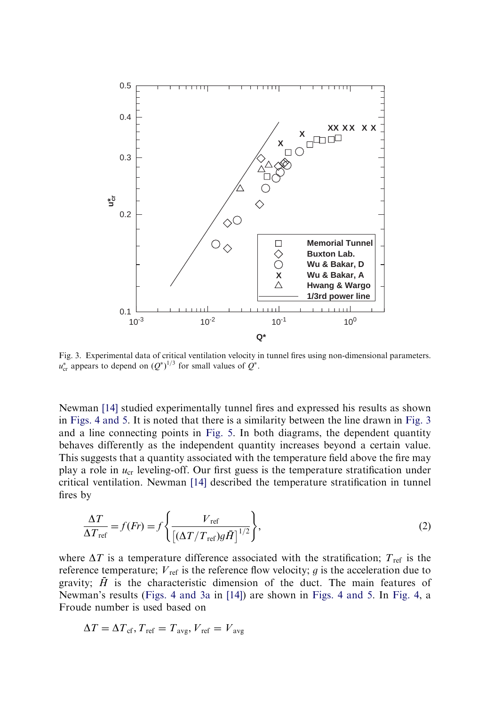<span id="page-6-0"></span>

Fig. 3. Experimental data of critical ventilation velocity in tunnel fires using non-dimensional parameters.  $u_{\rm cr}^*$  appears to depend on  $(Q^*)^{1/3}$  for small values of  $Q^*$ .

Newman [\[14\]](#page-31-0) studied experimentally tunnel fires and expressed his results as shown in [Figs. 4 and 5.](#page-7-0) It is noted that there is a similarity between the line drawn in Fig. 3 and a line connecting points in [Fig. 5](#page-8-0). In both diagrams, the dependent quantity behaves differently as the independent quantity increases beyond a certain value. This suggests that a quantity associated with the temperature field above the fire may play a role in  $u_{cr}$  leveling-off. Our first guess is the temperature stratification under critical ventilation. Newman [\[14\]](#page-31-0) described the temperature stratification in tunnel fires by

$$
\frac{\Delta T}{\Delta T_{\text{ref}}} = f(Fr) = f\left\{ \frac{V_{\text{ref}}}{\left[ (\Delta T/T_{\text{ref}})g\bar{H} \right]^{1/2}} \right\},\tag{2}
$$

where  $\Delta T$  is a temperature difference associated with the stratification;  $T_{\text{ref}}$  is the reference temperature;  $V_{\text{ref}}$  is the reference flow velocity; g is the acceleration due to gravity;  $\bar{H}$  is the characteristic dimension of the duct. The main features of Newman's results ([Figs. 4 and 3a](#page-7-0) in [\[14\]\)](#page-31-0) are shown in [Figs. 4 and 5.](#page-7-0) In [Fig. 4,](#page-7-0) a Froude number is used based on

$$
\Delta T = \Delta T_{\rm cf}, T_{\rm ref} = T_{\rm avg}, V_{\rm ref} = V_{\rm avg}
$$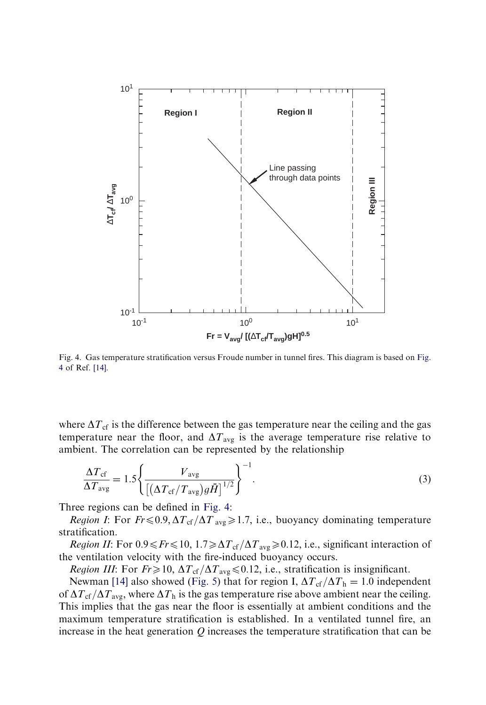<span id="page-7-0"></span>

Fig. 4. Gas temperature stratification versus Froude number in tunnel fires. This diagram is based on Fig. 4 of Ref. [\[14\]](#page-31-0).

where  $\Delta T_{cf}$  is the difference between the gas temperature near the ceiling and the gas temperature near the floor, and  $\Delta T_{\text{avg}}$  is the average temperature rise relative to ambient. The correlation can be represented by the relationship

$$
\frac{\Delta T_{\rm cf}}{\Delta T_{\rm avg}} = 1.5 \left\{ \frac{V_{\rm avg}}{\left[ \left( \Delta T_{\rm cf} / T_{\rm avg} \right) g \bar{H} \right]^{1/2}} \right\}^{-1}.
$$
\n(3)

Three regions can be defined in Fig. 4:

*Region I*: For  $Fr \leq 0.9$ ,  $\Delta T_{cf}/\Delta T_{avg} \geq 1.7$ , i.e., buoyancy dominating temperature stratification.

*Region II*: For  $0.9 \leq Fr \leq 10$ ,  $1.7 \geq \Delta T_{cf}/\Delta T_{avg} \geq 0.12$ , i.e., significant interaction of the ventilation velocity with the fire-induced buoyancy occurs.

*Region III:* For  $Fr \geq 10$ ,  $\Delta T_{cf}/\Delta T_{avg} \leq 0.12$ , i.e., stratification is insignificant.

Newman [\[14\]](#page-31-0) also showed [\(Fig. 5](#page-8-0)) that for region I,  $\Delta T_{cf}/\Delta T_h = 1.0$  independent of  $\Delta T_{\rm cf}/\Delta T_{\rm avg}$ , where  $\Delta T_{\rm h}$  is the gas temperature rise above ambient near the ceiling. This implies that the gas near the floor is essentially at ambient conditions and the maximum temperature stratification is established. In a ventilated tunnel fire, an increase in the heat generation  $Q$  increases the temperature stratification that can be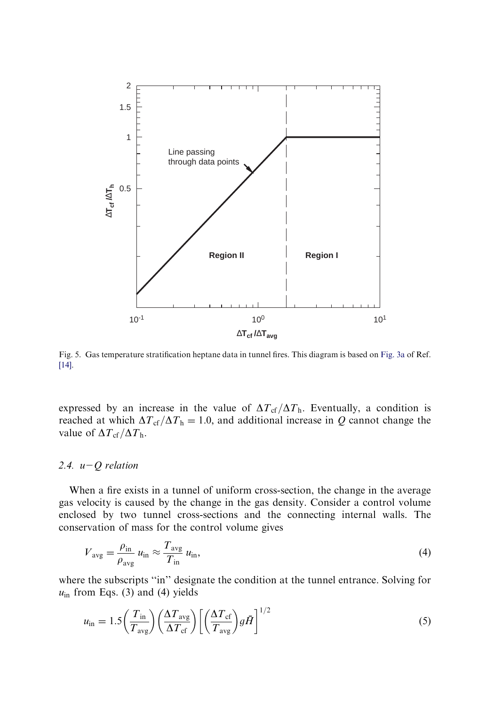<span id="page-8-0"></span>

Fig. 5. Gas temperature stratification heptane data in tunnel fires. This diagram is based on [Fig. 3a](#page-6-0) of Ref. [\[14\].](#page-31-0)

expressed by an increase in the value of  $\Delta T_{cf}/\Delta T_h$ . Eventually, a condition is reached at which  $\Delta T_{\rm cf}/\Delta T_{\rm h} = 1.0$ , and additional increase in Q cannot change the value of  $\Delta T_{\rm cf}/\Delta T_{\rm h}$ .

#### 2.4.  $u-Q$  relation

When a fire exists in a tunnel of uniform cross-section, the change in the average gas velocity is caused by the change in the gas density. Consider a control volume enclosed by two tunnel cross-sections and the connecting internal walls. The conservation of mass for the control volume gives

$$
V_{\text{avg}} = \frac{\rho_{\text{in}}}{\rho_{\text{avg}}} u_{\text{in}} \approx \frac{T_{\text{avg}}}{T_{\text{in}}} u_{\text{in}},\tag{4}
$$

where the subscripts "in" designate the condition at the tunnel entrance. Solving for  $u_{\text{in}}$  from Eqs. (3) and (4) yields

$$
u_{\rm in} = 1.5 \left(\frac{T_{\rm in}}{T_{\rm avg}}\right) \left(\frac{\Delta T_{\rm avg}}{\Delta T_{\rm cf}}\right) \left[\left(\frac{\Delta T_{\rm cf}}{T_{\rm avg}}\right) g \bar{H}\right]^{1/2} \tag{5}
$$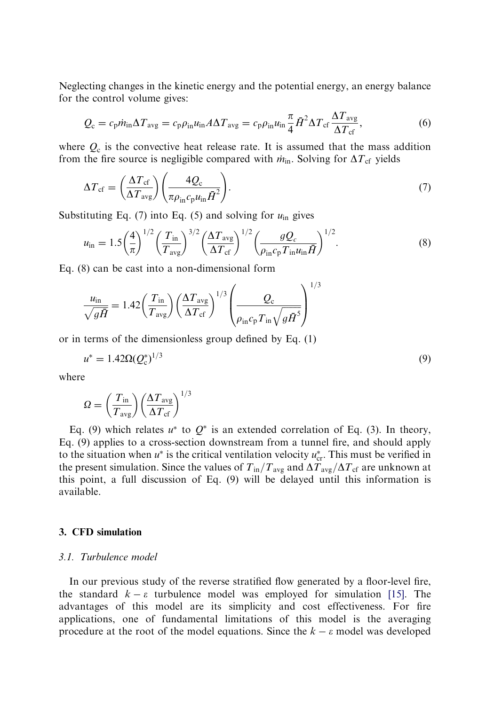Neglecting changes in the kinetic energy and the potential energy, an energy balance for the control volume gives:

$$
Q_{\rm c} = c_{\rm p} \dot{m}_{\rm in} \Delta T_{\rm avg} = c_{\rm p} \rho_{\rm in} u_{\rm in} A \Delta T_{\rm avg} = c_{\rm p} \rho_{\rm in} u_{\rm in} \frac{\pi}{4} \bar{H}^2 \Delta T_{\rm cf} \frac{\Delta T_{\rm avg}}{\Delta T_{\rm cf}},\tag{6}
$$

where  $Q_c$  is the convective heat release rate. It is assumed that the mass addition from the fire source is negligible compared with  $\dot{m}_{\rm in}$ . Solving for  $\Delta T_{\rm cf}$  yields

$$
\Delta T_{\rm cf} = \left(\frac{\Delta T_{\rm cf}}{\Delta T_{\rm avg}}\right) \left(\frac{4Q_{\rm c}}{\pi \rho_{\rm in} c_{\rm p} u_{\rm in} \bar{H}^2}\right). \tag{7}
$$

Substituting Eq. (7) into Eq. (5) and solving for  $u_{\text{in}}$  gives

$$
u_{\rm in} = 1.5 \left(\frac{4}{\pi}\right)^{1/2} \left(\frac{T_{\rm in}}{T_{\rm avg}}\right)^{3/2} \left(\frac{\Delta T_{\rm avg}}{\Delta T_{\rm cf}}\right)^{1/2} \left(\frac{g Q_c}{\rho_{\rm in} c_{\rm p} T_{\rm in} u_{\rm in} \bar{H}}\right)^{1/2}.
$$
 (8)

Eq. (8) can be cast into a non-dimensional form

$$
\frac{u_{\rm in}}{\sqrt{g\bar{H}}} = 1.42 \left(\frac{T_{\rm in}}{T_{\rm avg}}\right) \left(\frac{\Delta T_{\rm avg}}{\Delta T_{\rm cf}}\right)^{1/3} \left(\frac{Q_{\rm c}}{\rho_{\rm in}c_{\rm p}T_{\rm in}\sqrt{g\bar{H}^5}}\right)^{1/3}
$$

or in terms of the dimensionless group defined by Eq.  $(1)$ 

$$
u^* = 1.42 \Omega (Q_c^*)^{1/3} \tag{9}
$$

where

$$
\Omega = \left(\frac{T_{\rm in}}{T_{\rm avg}}\right) \left(\frac{\Delta T_{\rm avg}}{\Delta T_{\rm cf}}\right)^{1/3}
$$

Eq. (9) which relates  $u^*$  to  $Q^*$  is an extended correlation of Eq. (3). In theory, Eq. (9) applies to a cross-section downstream from a tunnel fire, and should apply to the situation when  $u^*$  is the critical ventilation velocity  $u_{\text{cr}}^*$ . This must be verified in the present simulation. Since the values of  $T_{in}/T_{avg}$  and  $\Delta T_{avg}/\Delta T_{cf}$  are unknown at this point, a full discussion of Eq. (9) will be delayed until this information is available.

#### 3. CFD simulation

#### 3.1. Turbulence model

In our previous study of the reverse stratified flow generated by a floor-level fire, the standard  $k - \varepsilon$  turbulence model was employed for simulation [\[15\].](#page-31-0) The advantages of this model are its simplicity and cost effectiveness. For fire applications, one of fundamental limitations of this model is the averaging procedure at the root of the model equations. Since the  $k - \varepsilon$  model was developed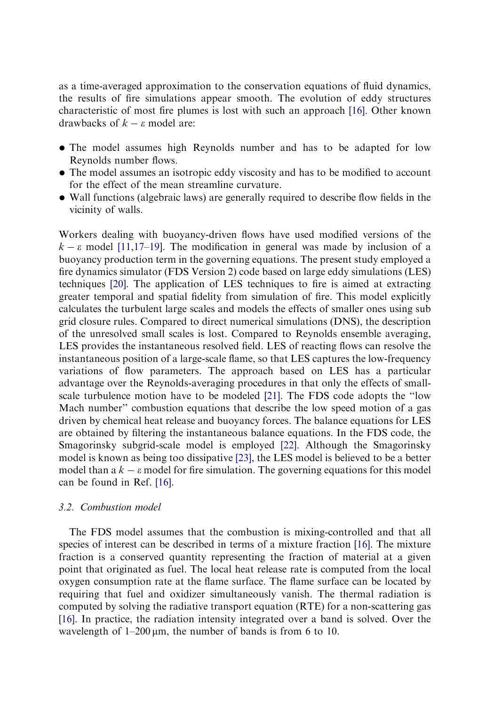as a time-averaged approximation to the conservation equations of fluid dynamics, the results of fire simulations appear smooth. The evolution of eddy structures characteristic of most fire plumes is lost with such an approach [\[16\].](#page-31-0) Other known drawbacks of  $k - \varepsilon$  model are:

- The model assumes high Reynolds number and has to be adapted for low Reynolds number flows.
- The model assumes an isotropic eddy viscosity and has to be modified to account for the effect of the mean streamline curvature.
- Wall functions (algebraic laws) are generally required to describe flow fields in the vicinity of walls.

Workers dealing with buoyancy-driven flows have used modified versions of the  $k - \varepsilon$  model [\[11,17–19\].](#page-31-0) The modification in general was made by inclusion of a buoyancy production term in the governing equations. The present study employed a fire dynamics simulator (FDS Version 2) code based on large eddy simulations (LES) techniques [\[20\]](#page-31-0). The application of LES techniques to fire is aimed at extracting greater temporal and spatial fidelity from simulation of fire. This model explicitly calculates the turbulent large scales and models the effects of smaller ones using sub grid closure rules. Compared to direct numerical simulations (DNS), the description of the unresolved small scales is lost. Compared to Reynolds ensemble averaging, LES provides the instantaneous resolved field. LES of reacting flows can resolve the instantaneous position of a large-scale flame, so that LES captures the low-frequency variations of flow parameters. The approach based on LES has a particular advantage over the Reynolds-averaging procedures in that only the effects of smallscale turbulence motion have to be modeled [\[21\]](#page-31-0). The FDS code adopts the ''low Mach number'' combustion equations that describe the low speed motion of a gas driven by chemical heat release and buoyancy forces. The balance equations for LES are obtained by filtering the instantaneous balance equations. In the FDS code, the Smagorinsky subgrid-scale model is employed [\[22\].](#page-31-0) Although the Smagorinsky model is known as being too dissipative [\[23\]](#page-31-0), the LES model is believed to be a better model than a  $k - \varepsilon$  model for fire simulation. The governing equations for this model can be found in Ref. [\[16\]](#page-31-0).

### 3.2. Combustion model

The FDS model assumes that the combustion is mixing-controlled and that all species of interest can be described in terms of a mixture fraction [\[16\].](#page-31-0) The mixture fraction is a conserved quantity representing the fraction of material at a given point that originated as fuel. The local heat release rate is computed from the local oxygen consumption rate at the flame surface. The flame surface can be located by requiring that fuel and oxidizer simultaneously vanish. The thermal radiation is computed by solving the radiative transport equation (RTE) for a non-scattering gas [\[16\]](#page-31-0). In practice, the radiation intensity integrated over a band is solved. Over the wavelength of  $1-200 \mu m$ , the number of bands is from 6 to 10.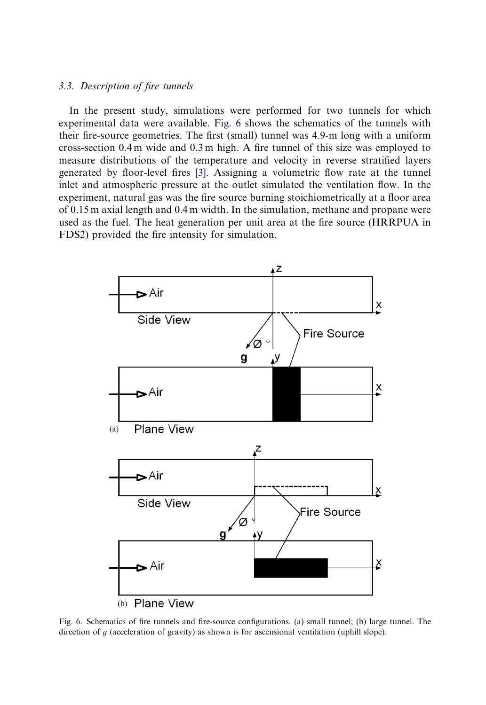#### <span id="page-11-0"></span>3.3. Description of fire tunnels

In the present study, simulations were performed for two tunnels for which experimental data were available. Fig. 6 shows the schematics of the tunnels with their fire-source geometries. The first (small) tunnel was 4.9-m long with a uniform cross-section 0.4 m wide and 0.3 m high. A fire tunnel of this size was employed to measure distributions of the temperature and velocity in reverse stratified layers generated by floor-level fires [\[3\].](#page-30-0) Assigning a volumetric flow rate at the tunnel inlet and atmospheric pressure at the outlet simulated the ventilation flow. In the experiment, natural gas was the fire source burning stoichiometrically at a floor area of 0.15 m axial length and 0.4 m width. In the simulation, methane and propane were used as the fuel. The heat generation per unit area at the fire source (HRRPUA in FDS2) provided the fire intensity for simulation.



Fig. 6. Schematics of fire tunnels and fire-source configurations. (a) small tunnel; (b) large tunnel. The direction of q (acceleration of gravity) as shown is for ascensional ventilation (uphill slope).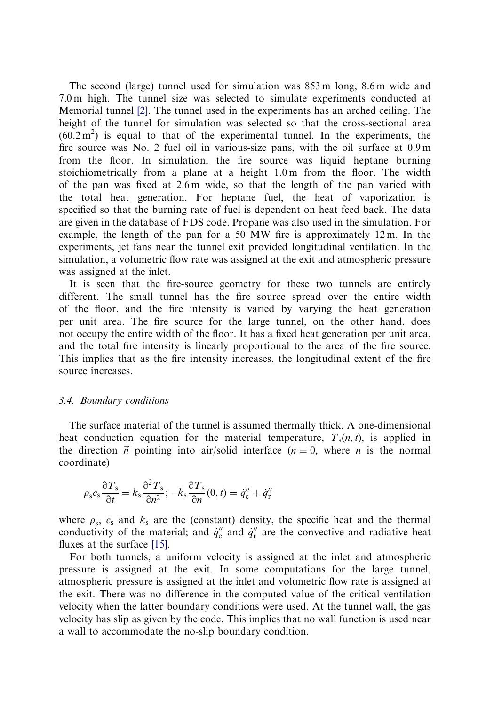The second (large) tunnel used for simulation was 853 m long, 8.6 m wide and 7.0 m high. The tunnel size was selected to simulate experiments conducted at Memorial tunnel [\[2\].](#page-30-0) The tunnel used in the experiments has an arched ceiling. The height of the tunnel for simulation was selected so that the cross-sectional area  $(60.2 \text{ m}^2)$  is equal to that of the experimental tunnel. In the experiments, the fire source was No. 2 fuel oil in various-size pans, with the oil surface at 0.9 m from the floor. In simulation, the fire source was liquid heptane burning stoichiometrically from a plane at a height 1.0 m from the floor. The width of the pan was fixed at 2.6 m wide, so that the length of the pan varied with the total heat generation. For heptane fuel, the heat of vaporization is specified so that the burning rate of fuel is dependent on heat feed back. The data are given in the database of FDS code. Propane was also used in the simulation. For example, the length of the pan for a 50 MW fire is approximately 12 m. In the experiments, jet fans near the tunnel exit provided longitudinal ventilation. In the simulation, a volumetric flow rate was assigned at the exit and atmospheric pressure was assigned at the inlet.

It is seen that the fire-source geometry for these two tunnels are entirely different. The small tunnel has the fire source spread over the entire width of the floor, and the fire intensity is varied by varying the heat generation per unit area. The fire source for the large tunnel, on the other hand, does not occupy the entire width of the floor. It has a fixed heat generation per unit area, and the total fire intensity is linearly proportional to the area of the fire source. This implies that as the fire intensity increases, the longitudinal extent of the fire source increases.

#### 3.4. Boundary conditions

The surface material of the tunnel is assumed thermally thick. A one-dimensional heat conduction equation for the material temperature,  $T_s(n, t)$ , is applied in the direction  $\vec{n}$  pointing into air/solid interface ( $n = 0$ , where n is the normal coordinate)

$$
\rho_s c_s \frac{\partial T_s}{\partial t} = k_s \frac{\partial^2 T_s}{\partial n^2}; -k_s \frac{\partial T_s}{\partial n}(0, t) = \dot{q}_c'' + \dot{q}_r''
$$

where  $\rho_s$ ,  $c_s$  and  $k_s$  are the (constant) density, the specific heat and the thermal conductivity of the material; and  $\dot{q}_c''$  and  $\dot{q}_r''$  are the convective and radiative heat fluxes at the surface [\[15\]](#page-31-0).

For both tunnels, a uniform velocity is assigned at the inlet and atmospheric pressure is assigned at the exit. In some computations for the large tunnel, atmospheric pressure is assigned at the inlet and volumetric flow rate is assigned at the exit. There was no difference in the computed value of the critical ventilation velocity when the latter boundary conditions were used. At the tunnel wall, the gas velocity has slipas given by the code. This implies that no wall function is used near a wall to accommodate the no-slip boundary condition.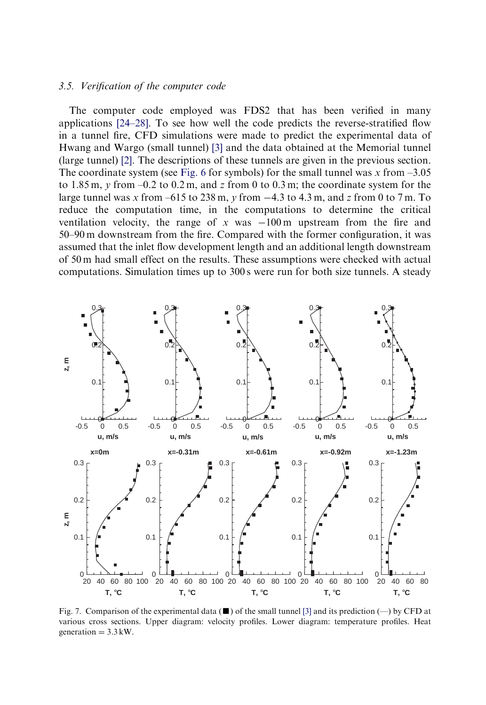#### <span id="page-13-0"></span>3.5. Verification of the computer code

The computer code employed was FDS2 that has been verified in many applications [\[24–28\].](#page-31-0) To see how well the code predicts the reverse-stratified flow in a tunnel fire, CFD simulations were made to predict the experimental data of Hwang and Wargo (small tunnel) [\[3\]](#page-30-0) and the data obtained at the Memorial tunnel (large tunnel) [\[2\]](#page-30-0). The descriptions of these tunnels are given in the previous section. The coordinate system (see [Fig. 6](#page-11-0) for symbols) for the small tunnel was x from  $-3.05$ to 1.85 m, y from  $-0.2$  to 0.2 m, and z from 0 to 0.3 m; the coordinate system for the large tunnel was x from  $-615$  to 238 m, y from  $-4.3$  to 4.3 m, and z from 0 to 7 m. To reduce the computation time, in the computations to determine the critical ventilation velocity, the range of x was  $-100 \text{ m}$  upstream from the fire and 50–90 m downstream from the fire. Compared with the former configuration, it was assumed that the inlet flow development length and an additional length downstream of 50 m had small effect on the results. These assumptions were checked with actual computations. Simulation times up to 300 s were run for both size tunnels. A steady



Fig. 7. Comparison of the experimental data  $(\blacksquare)$  of the small tunnel [\[3\]](#page-30-0) and its prediction  $(\text{---})$  by CFD at various cross sections. Upper diagram: velocity profiles. Lower diagram: temperature profiles. Heat generation  $= 3.3$  kW.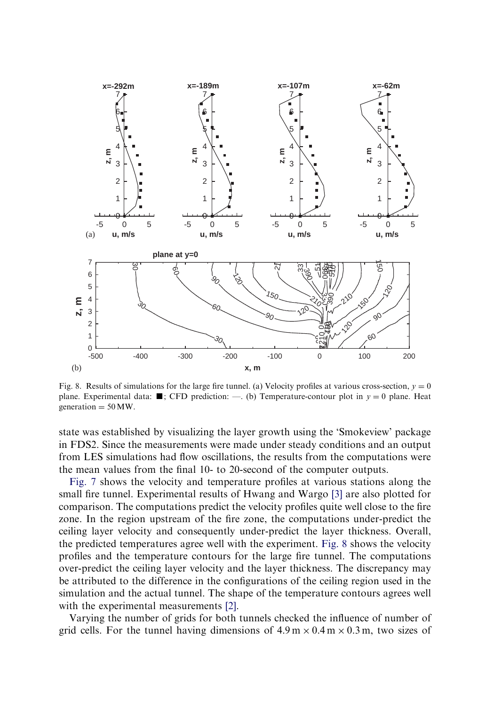

Fig. 8. Results of simulations for the large fire tunnel. (a) Velocity profiles at various cross-section,  $y = 0$ plane. Experimental data:  $\blacksquare$ ; CFD prediction: —. (b) Temperature-contour plot in  $y = 0$  plane. Heat generation  $= 50$  MW.

state was established by visualizing the layer growth using the 'Smokeview' package in FDS2. Since the measurements were made under steady conditions and an output from LES simulations had flow oscillations, the results from the computations were the mean values from the final 10- to 20-second of the computer outputs.

[Fig. 7](#page-13-0) shows the velocity and temperature profiles at various stations along the small fire tunnel. Experimental results of Hwang and Wargo [\[3\]](#page-30-0) are also plotted for comparison. The computations predict the velocity profiles quite well close to the fire zone. In the region upstream of the fire zone, the computations under-predict the ceiling layer velocity and consequently under-predict the layer thickness. Overall, the predicted temperatures agree well with the experiment. Fig. 8 shows the velocity profiles and the temperature contours for the large fire tunnel. The computations over-predict the ceiling layer velocity and the layer thickness. The discrepancy may be attributed to the difference in the configurations of the ceiling region used in the simulation and the actual tunnel. The shape of the temperature contours agrees well with the experimental measurements [\[2\].](#page-30-0)

Varying the number of grids for both tunnels checked the influence of number of grid cells. For the tunnel having dimensions of  $4.9 \text{ m} \times 0.4 \text{ m} \times 0.3 \text{ m}$ , two sizes of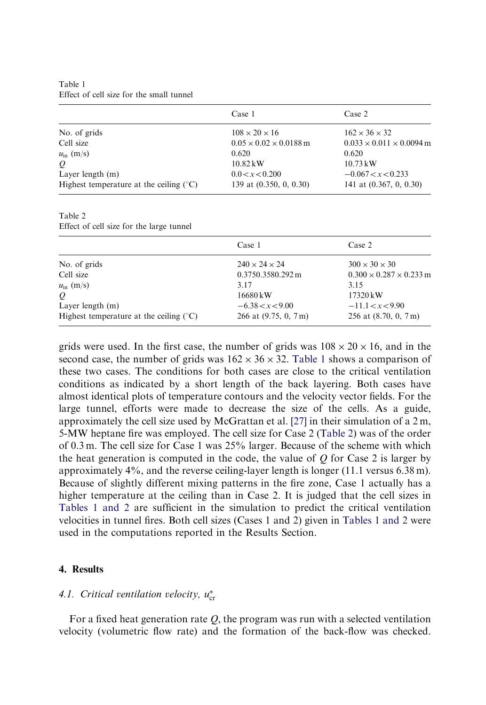Table 1 Effect of cell size for the small tunnel

|                                                  | Case 1                             | Case 2                               |
|--------------------------------------------------|------------------------------------|--------------------------------------|
| No. of grids                                     | $108 \times 20 \times 16$          | $162 \times 36 \times 32$            |
| Cell size                                        | $0.05 \times 0.02 \times 0.0188$ m | $0.033 \times 0.011 \times 0.0094$ m |
| $u_{\rm in}$ (m/s)                               | 0.620                              | 0.620                                |
| $\varrho$                                        | $10.82 \,\mathrm{kW}$              | $10.73 \,\mathrm{kW}$                |
| Layer length $(m)$                               | 0.0 < x < 0.200                    | $-0.067 < x < 0.233$                 |
| Highest temperature at the ceiling $(^{\circ}C)$ | 139 at (0.350, 0, 0.30)            | 141 at $(0.367, 0, 0.30)$            |

Table 2

Effect of cell size for the large tunnel

|                                           | Case 1                    | Case 2                              |
|-------------------------------------------|---------------------------|-------------------------------------|
| No. of grids                              | $240 \times 24 \times 24$ | $300 \times 30 \times 30$           |
| Cell size                                 | 0.3750.3580.292 m         | $0.300 \times 0.287 \times 0.233$ m |
| $u_{\rm in}$ (m/s)                        | 3.17                      | 3.15                                |
| Q                                         | 16680 kW                  | $17320 \,\mathrm{kW}$               |
| Layer length $(m)$                        | $-6.38 < x < 9.00$        | $-11.1 < x < 9.90$                  |
| Highest temperature at the ceiling $(°C)$ | 266 at $(9.75, 0, 7m)$    | 256 at $(8.70, 0, 7m)$              |

grids were used. In the first case, the number of grids was  $108 \times 20 \times 16$ , and in the second case, the number of grids was  $162 \times 36 \times 32$ . Table 1 shows a comparison of these two cases. The conditions for both cases are close to the critical ventilation conditions as indicated by a short length of the back layering. Both cases have almost identical plots of temperature contours and the velocity vector fields. For the large tunnel, efforts were made to decrease the size of the cells. As a guide, approximately the cell size used by McGrattan et al. [\[27\]](#page-31-0) in their simulation of a 2 m, 5-MW heptane fire was employed. The cell size for Case 2 (Table 2) was of the order of 0.3 m. The cell size for Case 1 was 25% larger. Because of the scheme with which the heat generation is computed in the code, the value of  $Q$  for Case 2 is larger by approximately 4%, and the reverse ceiling-layer length is longer (11.1 versus 6.38 m). Because of slightly different mixing patterns in the fire zone, Case 1 actually has a higher temperature at the ceiling than in Case 2. It is judged that the cell sizes in Tables 1 and 2 are sufficient in the simulation to predict the critical ventilation velocities in tunnel fires. Both cell sizes (Cases 1 and 2) given in Tables 1 and 2 were used in the computations reported in the Results Section.

#### 4. Results

# 4.1. Critical ventilation velocity,  $u_{\rm cr}^*$

For a fixed heat generation rate  $Q$ , the program was run with a selected ventilation velocity (volumetric flow rate) and the formation of the back-flow was checked.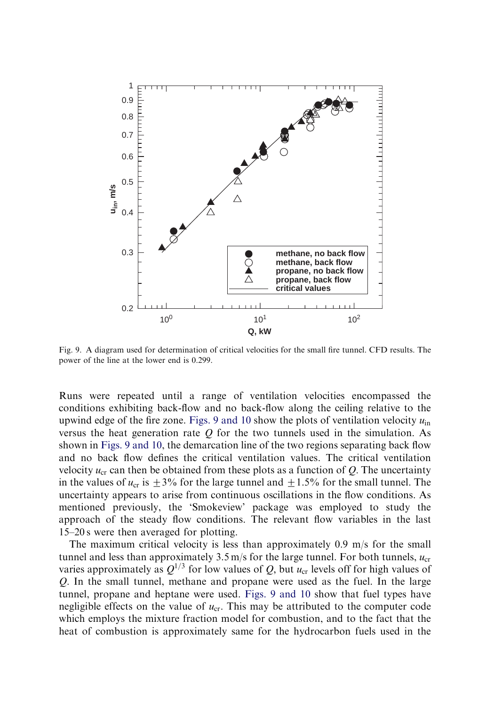<span id="page-16-0"></span>

Fig. 9. A diagram used for determination of critical velocities for the small fire tunnel. CFD results. The power of the line at the lower end is 0.299.

Runs were repeated until a range of ventilation velocities encompassed the conditions exhibiting back-flow and no back-flow along the ceiling relative to the upwind edge of the fire zone. Figs. 9 and 10 show the plots of ventilation velocity  $u_{\text{in}}$ versus the heat generation rate  $Q$  for the two tunnels used in the simulation. As shown in Figs. 9 and 10, the demarcation line of the two regions separating back flow and no back flow defines the critical ventilation values. The critical ventilation velocity  $u_{cr}$  can then be obtained from these plots as a function of Q. The uncertainty in the values of  $u_{cr}$  is  $\pm 3\%$  for the large tunnel and  $\pm 1.5\%$  for the small tunnel. The uncertainty appears to arise from continuous oscillations in the flow conditions. As mentioned previously, the 'Smokeview' package was employed to study the approach of the steady flow conditions. The relevant flow variables in the last 15–20 s were then averaged for plotting.

The maximum critical velocity is less than approximately 0.9 m/s for the small tunnel and less than approximately  $3.5 \text{ m/s}$  for the large tunnel. For both tunnels,  $u_{cr}$ varies approximately as  $Q^{1/3}$  for low values of Q, but  $u_{cr}$  levels off for high values of Q: In the small tunnel, methane and propane were used as the fuel. In the large tunnel, propane and heptane were used. Figs. 9 and 10 show that fuel types have negligible effects on the value of  $u_{cr}$ . This may be attributed to the computer code which employs the mixture fraction model for combustion, and to the fact that the heat of combustion is approximately same for the hydrocarbon fuels used in the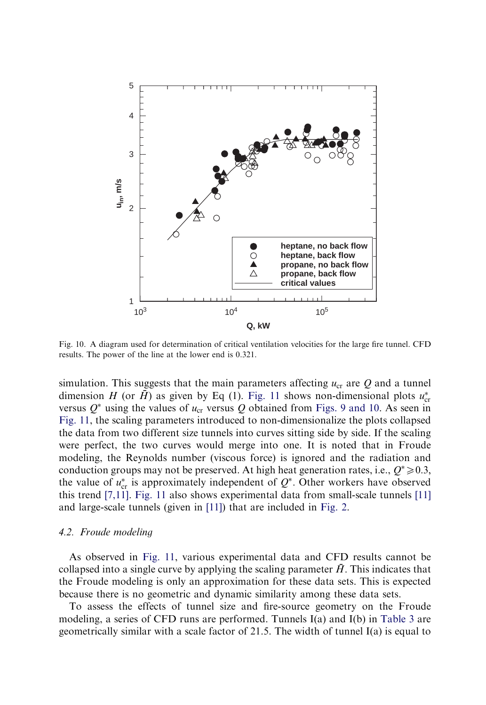<span id="page-17-0"></span>

Fig. 10. A diagram used for determination of critical ventilation velocities for the large fire tunnel. CFD results. The power of the line at the lower end is 0.321.

simulation. This suggests that the main parameters affecting  $u_{cr}$  are Q and a tunnel dimension H (or  $\bar{H}$ ) as given by Eq (1). [Fig. 11](#page-18-0) shows non-dimensional plots  $u_{\text{cr}}^*$ versus  $Q^*$  using the values of  $u_{cr}$  versus Q obtained from [Figs. 9 and 10](#page-16-0). As seen in [Fig. 11,](#page-18-0) the scaling parameters introduced to non-dimensionalize the plots collapsed the data from two different size tunnels into curves sitting side by side. If the scaling were perfect, the two curves would merge into one. It is noted that in Froude modeling, the Reynolds number (viscous force) is ignored and the radiation and conduction groups may not be preserved. At high heat generation rates, i.e.,  $Q^* \ge 0.3$ ; the value of  $u_{\text{cr}}^*$  is approximately independent of  $Q^*$ . Other workers have observed this trend [\[7,11\]](#page-31-0). [Fig. 11](#page-18-0) also shows experimental data from small-scale tunnels [\[11\]](#page-31-0) and large-scale tunnels (given in [\[11\]](#page-31-0)) that are included in [Fig. 2](#page-4-0).

#### 4.2. Froude modeling

As observed in [Fig. 11,](#page-18-0) various experimental data and CFD results cannot be collapsed into a single curve by applying the scaling parameter  $\bar{H}$ . This indicates that the Froude modeling is only an approximation for these data sets. This is expected because there is no geometric and dynamic similarity among these data sets.

To assess the effects of tunnel size and fire-source geometry on the Froude modeling, a series of CFD runs are performed. Tunnels I(a) and I(b) in [Table 3](#page-18-0) are geometrically similar with a scale factor of 21.5. The width of tunnel I(a) is equal to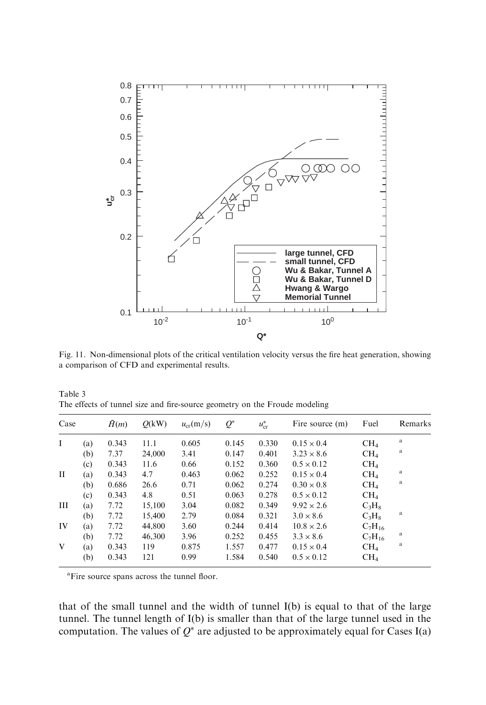<span id="page-18-0"></span>

Fig. 11. Non-dimensional plots of the critical ventilation velocity versus the fire heat generation, showing a comparison of CFD and experimental results.

| Table 3                                                                    |  |  |  |
|----------------------------------------------------------------------------|--|--|--|
| The effects of tunnel size and fire-source geometry on the Froude modeling |  |  |  |

| Case |     | H(m)  | O(kW)  | $u_{cr}(m/s)$ | $Q^*$ | $u_{\rm cr}^*$ | Fire source (m)   | Fuel            | Remarks |
|------|-----|-------|--------|---------------|-------|----------------|-------------------|-----------------|---------|
| I    | (a) | 0.343 | 11.1   | 0.605         | 0.145 | 0.330          | $0.15 \times 0.4$ | CH <sub>4</sub> | a       |
|      | (b) | 7.37  | 24,000 | 3.41          | 0.147 | 0.401          | $3.23 \times 8.6$ | CH <sub>4</sub> | a       |
|      | (c) | 0.343 | 11.6   | 0.66          | 0.152 | 0.360          | $0.5 \times 0.12$ | CH <sub>4</sub> |         |
| П    | (a) | 0.343 | 4.7    | 0.463         | 0.062 | 0.252          | $0.15 \times 0.4$ | CH <sub>4</sub> | a       |
|      | (b) | 0.686 | 26.6   | 0.71          | 0.062 | 0.274          | $0.30 \times 0.8$ | CH <sub>4</sub> | a       |
|      | (c) | 0.343 | 4.8    | 0.51          | 0.063 | 0.278          | $0.5 \times 0.12$ | CH <sub>4</sub> |         |
| Ш    | (a) | 7.72  | 15,100 | 3.04          | 0.082 | 0.349          | $9.92 \times 2.6$ | $C_3H_8$        |         |
|      | (b) | 7.72  | 15,400 | 2.79          | 0.084 | 0.321          | $3.0 \times 8.6$  | $C_3H_8$        | a       |
| IV   | (a) | 7.72  | 44,800 | 3.60          | 0.244 | 0.414          | $10.8 \times 2.6$ | $C_7H_{16}$     |         |
|      | (b) | 7.72  | 46,300 | 3.96          | 0.252 | 0.455          | $3.3 \times 8.6$  | $C_7H_{16}$     | a       |
| V    | (a) | 0.343 | 119    | 0.875         | 1.557 | 0.477          | $0.15 \times 0.4$ | CH <sub>4</sub> | a       |
|      | (b) | 0.343 | 121    | 0.99          | 1.584 | 0.540          | $0.5 \times 0.12$ | CH <sub>4</sub> |         |

<sup>a</sup>Fire source spans across the tunnel floor.

that of the small tunnel and the width of tunnel I(b) is equal to that of the large tunnel. The tunnel length of I(b) is smaller than that of the large tunnel used in the computation. The values of  $Q^*$  are adjusted to be approximately equal for Cases I(a)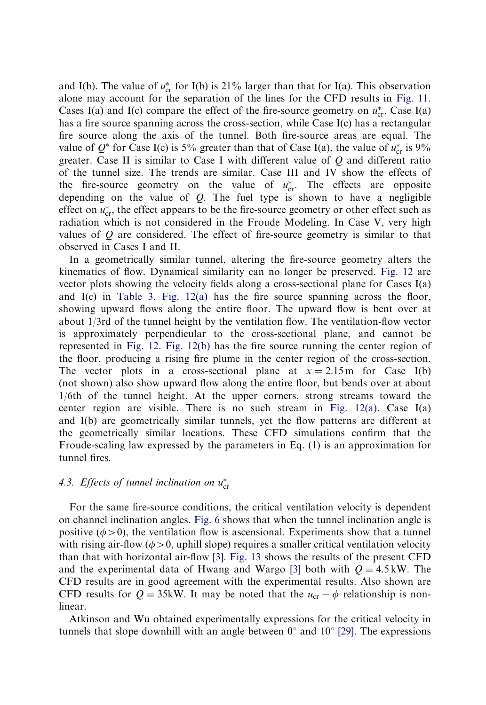and I(b). The value of  $u_{cr}^*$  for I(b) is 21% larger than that for I(a). This observation alone may account for the separation of the lines for the CFD results in [Fig. 11.](#page-18-0) Cases I(a) and I(c) compare the effect of the fire-source geometry on  $u_{cr}^*$ . Case I(a) has a fire source spanning across the cross-section, while Case I(c) has a rectangular fire source along the axis of the tunnel. Both fire-source areas are equal. The value of  $Q^*$  for Case I(c) is 5% greater than that of Case I(a), the value of  $u_{cr}^*$  is 9% greater. Case II is similar to Case I with different value of  $Q$  and different ratio of the tunnel size. The trends are similar. Case III and IV show the effects of the fire-source geometry on the value of  $u_{\text{cr}}^*$ . The effects are opposite depending on the value of  $Q$ . The fuel type is shown to have a negligible effect on  $u_{\text{cr}}^*$ , the effect appears to be the fire-source geometry or other effect such as radiation which is not considered in the Froude Modeling. In Case V, very high values of  $Q$  are considered. The effect of fire-source geometry is similar to that observed in Cases I and II.

In a geometrically similar tunnel, altering the fire-source geometry alters the kinematics of flow. Dynamical similarity can no longer be preserved. [Fig. 12](#page-20-0) are vector plots showing the velocity fields along a cross-sectional plane for Cases I(a) and I(c) in [Table 3.](#page-18-0) [Fig. 12\(a\)](#page-20-0) has the fire source spanning across the floor, showing upward flows along the entire floor. The upward flow is bent over at about 1/3rd of the tunnel height by the ventilation flow. The ventilation-flow vector is approximately perpendicular to the cross-sectional plane, and cannot be represented in [Fig. 12.](#page-20-0) [Fig. 12\(b\)](#page-20-0) has the fire source running the center region of the floor, producing a rising fire plume in the center region of the cross-section. The vector plots in a cross-sectional plane at  $x = 2.15$  m for Case I(b) (not shown) also show upward flow along the entire floor, but bends over at about 1/6th of the tunnel height. At the upper corners, strong streams toward the center region are visible. There is no such stream in Fig.  $12(a)$ . Case I(a) and I(b) are geometrically similar tunnels, yet the flow patterns are different at the geometrically similar locations. These CFD simulations confirm that the Froude-scaling law expressed by the parameters in Eq. (1) is an approximation for tunnel fires.

# 4.3. Effects of tunnel inclination on  $u_{\text{cr}}^*$

For the same fire-source conditions, the critical ventilation velocity is dependent on channel inclination angles. [Fig. 6](#page-11-0) shows that when the tunnel inclination angle is positive ( $\phi > 0$ ), the ventilation flow is ascensional. Experiments show that a tunnel with rising air-flow ( $\phi > 0$ , uphill slope) requires a smaller critical ventilation velocity than that with horizontal air-flow [\[3\]](#page-30-0). [Fig. 13](#page-21-0) shows the results of the present CFD and the experimental data of Hwang and Wargo [\[3\]](#page-30-0) both with  $Q = 4.5$  kW. The CFD results are in good agreement with the experimental results. Also shown are CFD results for  $Q = 35$ kW. It may be noted that the  $u_{cr} - \phi$  relationship is nonlinear.

Atkinson and Wu obtained experimentally expressions for the critical velocity in tunnels that slope downhill with an angle between  $0^{\circ}$  and  $10^{\circ}$  [\[29\]](#page-31-0). The expressions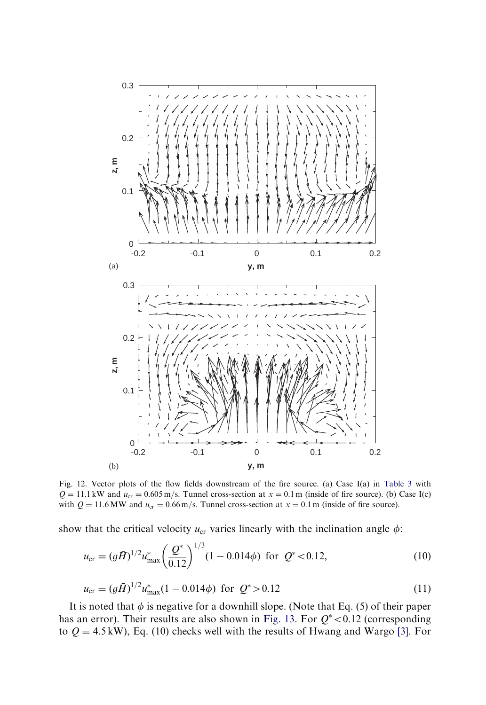<span id="page-20-0"></span>

Fig. 12. Vector plots of the flow fields downstream of the fire source. (a) Case I(a) in [Table 3](#page-18-0) with  $Q = 11.1 \text{ kW}$  and  $u_{cr} = 0.605 \text{ m/s}$ . Tunnel cross-section at  $x = 0.1 \text{ m}$  (inside of fire source). (b) Case I(c) with  $Q = 11.6$  MW and  $u_{cr} = 0.66$  m/s. Tunnel cross-section at  $x = 0.1$  m (inside of fire source).

show that the critical velocity  $u_{cr}$  varies linearly with the inclination angle  $\phi$ :

$$
u_{\rm cr} = (g\bar{H})^{1/2} u_{\rm max}^* \left(\frac{Q^*}{0.12}\right)^{1/3} (1 - 0.014\phi) \text{ for } Q^* < 0.12,
$$
 (10)

$$
u_{\rm cr} = (g\bar{H})^{1/2} u_{\rm max}^*(1 - 0.014\phi) \text{ for } Q^* > 0.12
$$
 (11)

It is noted that  $\phi$  is negative for a downhill slope. (Note that Eq. (5) of their paper has an error). Their results are also shown in [Fig. 13.](#page-21-0) For  $Q^*$  < 0.12 (corresponding to  $Q = 4.5$  kW), Eq. (10) checks well with the results of Hwang and Wargo [\[3\].](#page-30-0) For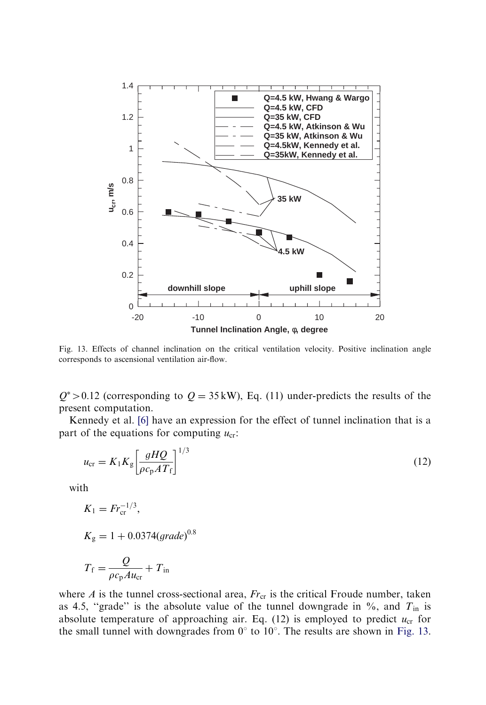<span id="page-21-0"></span>

Fig. 13. Effects of channel inclination on the critical ventilation velocity. Positive inclination angle corresponds to ascensional ventilation air-flow.

 $Q^*$  > 0.12 (corresponding to  $Q = 35$  kW), Eq. (11) under-predicts the results of the present computation.

Kennedy et al. [\[6\]](#page-31-0) have an expression for the effect of tunnel inclination that is a part of the equations for computing  $u_{cr}$ :

$$
u_{\rm cr} = K_1 K_{\rm g} \left[ \frac{gHQ}{\rho c_{\rm p} A T_{\rm f}} \right]^{1/3} \tag{12}
$$

with

$$
K_1 = Fr_{\text{cr}}^{-1/3},
$$
  
\n
$$
K_{\text{g}} = 1 + 0.0374(\text{grade})^{0.8}
$$
  
\n
$$
T_{\text{f}} = \frac{Q}{\rho c_{\text{p}} A u_{\text{cr}}} + T_{\text{in}}
$$

where  $A$  is the tunnel cross-sectional area,  $Fr_{cr}$  is the critical Froude number, taken as 4.5, "grade" is the absolute value of the tunnel downgrade in  $\%$ , and  $T_{\text{in}}$  is absolute temperature of approaching air. Eq. (12) is employed to predict  $u_{cr}$  for the small tunnel with downgrades from  $0^{\circ}$  to  $10^{\circ}$ . The results are shown in Fig. 13.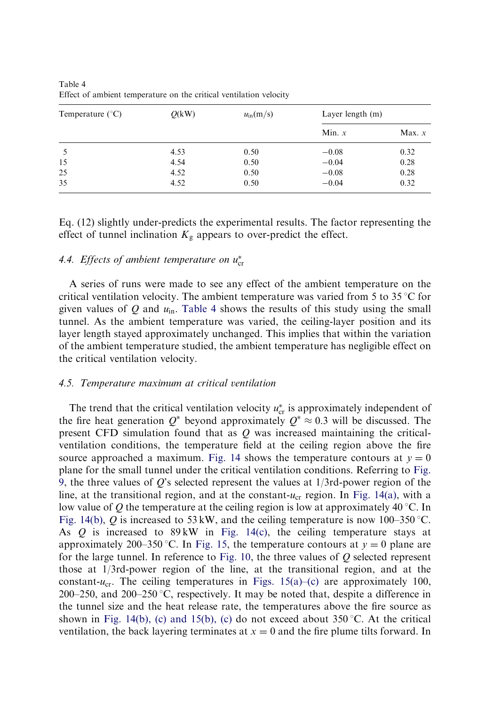| Temperature $(^{\circ}C)$ | O(kW) | $u_{\rm in}$ (m/s) | Layer length (m) |          |
|---------------------------|-------|--------------------|------------------|----------|
|                           |       |                    | Min. $x$         | Max. $x$ |
|                           | 4.53  | 0.50               | $-0.08$          | 0.32     |
| 15                        | 4.54  | 0.50               | $-0.04$          | 0.28     |
| 25                        | 4.52  | 0.50               | $-0.08$          | 0.28     |
| 35                        | 4.52  | 0.50               | $-0.04$          | 0.32     |

Table 4 Effect of ambient temperature on the critical ventilation velocity

Eq. (12) slightly under-predicts the experimental results. The factor representing the effect of tunnel inclination  $K_{\rm g}$  appears to over-predict the effect.

# 4.4. Effects of ambient temperature on  $u_{\text{cr}}^*$

A series of runs were made to see any effect of the ambient temperature on the critical ventilation velocity. The ambient temperature was varied from 5 to 35  $\degree$ C for given values of  $Q$  and  $u_{in}$ . Table 4 shows the results of this study using the small tunnel. As the ambient temperature was varied, the ceiling-layer position and its layer length stayed approximately unchanged. This implies that within the variation of the ambient temperature studied, the ambient temperature has negligible effect on the critical ventilation velocity.

#### 4.5. Temperature maximum at critical ventilation

The trend that the critical ventilation velocity  $u_{cr}^*$  is approximately independent of the fire heat generation  $Q^*$  beyond approximately  $Q^* \approx 0.3$  will be discussed. The present CFD simulation found that as  $Q$  was increased maintaining the criticalventilation conditions, the temperature field at the ceiling region above the fire source approached a maximum. [Fig. 14](#page-23-0) shows the temperature contours at  $y = 0$ plane for the small tunnel under the critical ventilation conditions. Referring to [Fig.](#page-16-0) [9,](#page-16-0) the three values of  $Q$ 's selected represent the values at  $1/3$ rd-power region of the line, at the transitional region, and at the constant- $u_{cr}$  region. In [Fig. 14\(a\)](#page-23-0), with a low value of Q the temperature at the ceiling region is low at approximately 40 °C. In [Fig. 14\(b\)](#page-23-0), Q is increased to 53 kW, and the ceiling temperature is now 100–350 °C. As  $Q$  is increased to 89 kW in [Fig. 14\(c\),](#page-23-0) the ceiling temperature stays at approximately 200–350 °C. In [Fig. 15,](#page-24-0) the temperature contours at  $y = 0$  plane are for the large tunnel. In reference to [Fig. 10,](#page-17-0) the three values of  $Q$  selected represent those at 1/3rd-power region of the line, at the transitional region, and at the constant- $u_{cr}$ . The ceiling temperatures in [Figs. 15\(a\)–\(c\)](#page-24-0) are approximately 100, 200–250, and 200–250 °C, respectively. It may be noted that, despite a difference in the tunnel size and the heat release rate, the temperatures above the fire source as shown in [Fig. 14\(b\), \(c\) and 15\(b\), \(c\)](#page-23-0) do not exceed about 350 °C. At the critical ventilation, the back layering terminates at  $x = 0$  and the fire plume tilts forward. In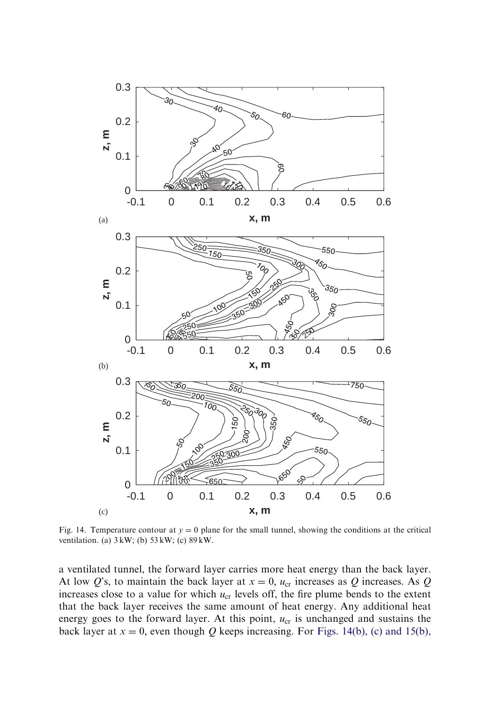<span id="page-23-0"></span>

Fig. 14. Temperature contour at  $y = 0$  plane for the small tunnel, showing the conditions at the critical ventilation. (a) 3 kW; (b) 53 kW; (c) 89 kW.

a ventilated tunnel, the forward layer carries more heat energy than the back layer. At low Q's, to maintain the back layer at  $x = 0$ ,  $u_{cr}$  increases as Q increases. As Q increases close to a value for which  $u_{cr}$  levels off, the fire plume bends to the extent that the back layer receives the same amount of heat energy. Any additional heat energy goes to the forward layer. At this point,  $u_{cr}$  is unchanged and sustains the back layer at  $x = 0$ , even though Q keeps increasing. For Figs. 14(b), (c) and 15(b),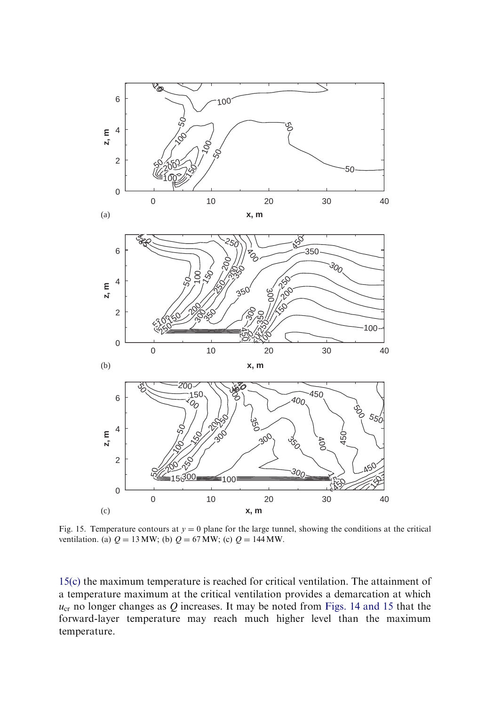<span id="page-24-0"></span>

Fig. 15. Temperature contours at  $y = 0$  plane for the large tunnel, showing the conditions at the critical ventilation. (a)  $Q = 13 \text{ MW}$ ; (b)  $Q = 67 \text{ MW}$ ; (c)  $Q = 144 \text{ MW}$ .

[15\(c\)](#page-23-0) the maximum temperature is reached for critical ventilation. The attainment of a temperature maximum at the critical ventilation provides a demarcation at which  $u_{cr}$  no longer changes as Q increases. It may be noted from [Figs. 14 and 15](#page-23-0) that the forward-layer temperature may reach much higher level than the maximum temperature.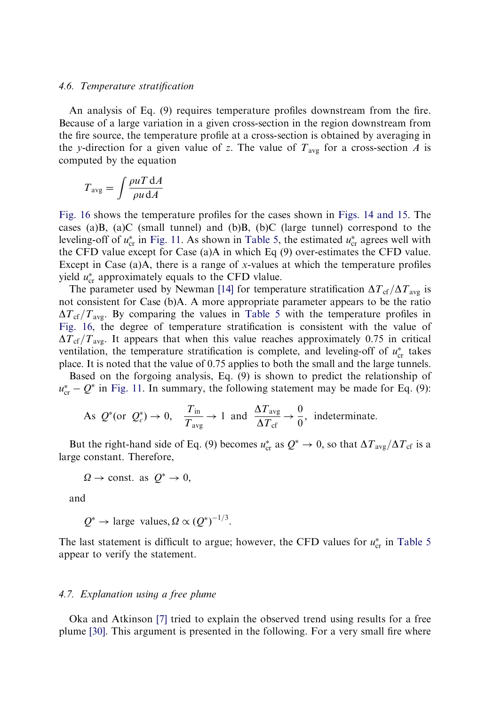#### 4.6. Temperature stratification

An analysis of Eq. (9) requires temperature profiles downstream from the fire. Because of a large variation in a given cross-section in the region downstream from the fire source, the temperature profile at a cross-section is obtained by averaging in the y-direction for a given value of z. The value of  $T_{\text{avg}}$  for a cross-section A is computed by the equation

$$
T_{\text{avg}} = \int \frac{\rho u T \, \mathrm{d}A}{\rho u \, \mathrm{d}A}
$$

[Fig. 16](#page-26-0) shows the temperature profiles for the cases shown in [Figs. 14 and 15.](#page-23-0) The cases (a)B, (a)C (small tunnel) and (b)B, (b)C (large tunnel) correspond to the leveling-off of  $u_{cr}^*$  in [Fig. 11](#page-18-0). As shown in [Table 5](#page-27-0), the estimated  $u_{cr}^*$  agrees well with the CFD value except for Case (a)A in which Eq (9) over-estimates the CFD value. Except in Case  $(a)$ A, there is a range of x-values at which the temperature profiles yield  $u_{cr}^*$  approximately equals to the CFD vlalue.

The parameter used by Newman [\[14\]](#page-31-0) for temperature stratification  $\Delta T_{\rm cf}/\Delta T_{\rm avg}$  is not consistent for Case (b)A. A more appropriate parameter appears to be the ratio  $\Delta T_{\rm cf}/T_{\rm avg}$ . By comparing the values in [Table 5](#page-27-0) with the temperature profiles in [Fig. 16,](#page-26-0) the degree of temperature stratification is consistent with the value of  $\Delta T_{\rm cf}/T_{\rm ave}$ . It appears that when this value reaches approximately 0.75 in critical ventilation, the temperature stratification is complete, and leveling-off of  $u_{cr}^*$  takes place. It is noted that the value of 0.75 applies to both the small and the large tunnels.

Based on the forgoing analysis, Eq. (9) is shown to predict the relationship of  $u_{\rm cr}^*$  –  $Q^*$  in [Fig. 11](#page-18-0). In summary, the following statement may be made for Eq. (9):

As 
$$
Q^*(\text{or } Q_c^*) \to 0
$$
,  $\frac{T_{\text{in}}}{T_{\text{avg}}} \to 1$  and  $\frac{\Delta T_{\text{avg}}}{\Delta T_{\text{cf}}} \to \frac{0}{0}$ , indeterminate.

But the right-hand side of Eq. (9) becomes  $u_{cr}^*$  as  $Q^* \to 0$ , so that  $\Delta T_{avg}/\Delta T_{cf}$  is a large constant. Therefore,

$$
\Omega \to \text{const. as } Q^* \to 0,
$$

and

$$
Q^*
$$
  $\rightarrow$  large values,  $\Omega \propto (Q^*)^{-1/3}$ .

The last statement is difficult to argue; however, the CFD values for  $u_{cr}^*$  in [Table 5](#page-27-0) appear to verify the statement.

#### 4.7. Explanation using a free plume

Oka and Atkinson [\[7\]](#page-31-0) tried to explain the observed trend using results for a free plume [\[30\]](#page-31-0). This argument is presented in the following. For a very small fire where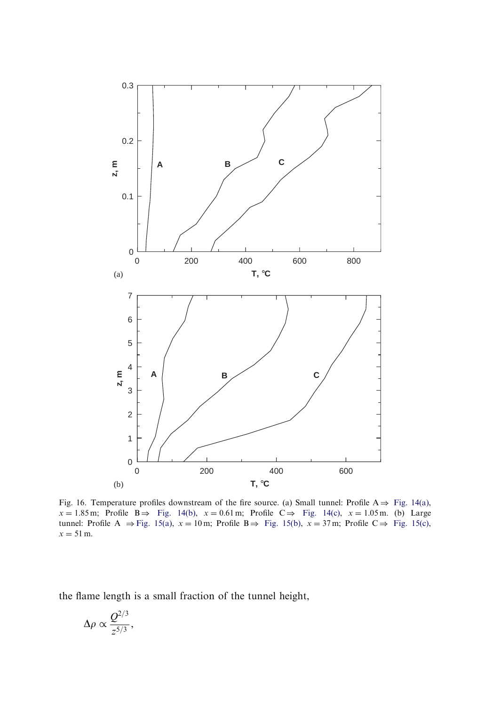<span id="page-26-0"></span>

Fig. 16. Temperature profiles downstream of the fire source. (a) Small tunnel: Profile  $A \Rightarrow Fig. 14(a)$  $A \Rightarrow Fig. 14(a)$ ,  $x = 1.85$  m; Profile B $\Rightarrow$  [Fig. 14\(b\)](#page-23-0),  $x = 0.61$  m; Profile C $\Rightarrow$  [Fig. 14\(c\),](#page-23-0)  $x = 1.05$  m. (b) Large tunnel: Profile A  $\Rightarrow$  [Fig. 15\(a\),](#page-24-0)  $x = 10$  m; Profile B $\Rightarrow$  [Fig. 15\(b\),](#page-24-0)  $x = 37$  m; Profile C $\Rightarrow$  [Fig. 15\(c\)](#page-24-0),  $x = 51$  m.

the flame length is a small fraction of the tunnel height,

$$
\Delta \rho \propto \frac{Q^{2/3}}{z^{5/3}},
$$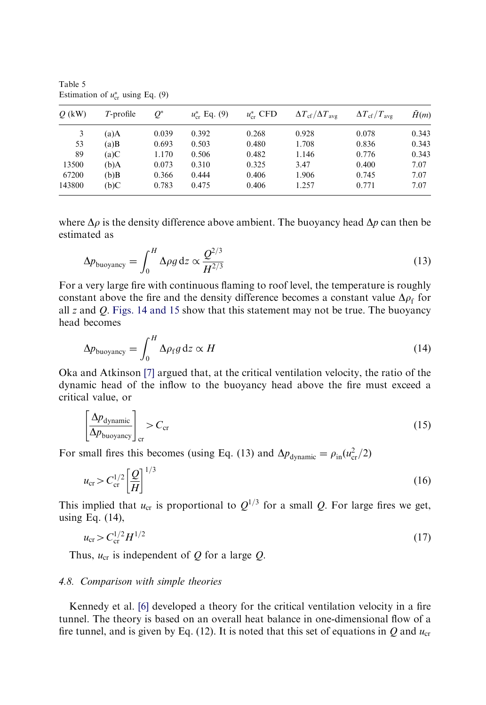| $Q$ (kW) | $T$ -profile | $O^*$ | $u_{cr}^*$ Eq. (9) | $u_{cr}^*$ CFD | $\Delta T_{\rm cf}/\Delta T_{\rm avg}$ | $\Delta T_{\rm cf}/T_{\rm ave}$ | H(m)  |
|----------|--------------|-------|--------------------|----------------|----------------------------------------|---------------------------------|-------|
| 3        | (a)A         | 0.039 | 0.392              | 0.268          | 0.928                                  | 0.078                           | 0.343 |
| 53       | $(a)$ B      | 0.693 | 0.503              | 0.480          | 1.708                                  | 0.836                           | 0.343 |
| 89       | (a)C         | 1.170 | 0.506              | 0.482          | 1.146                                  | 0.776                           | 0.343 |
| 13500    | (b)A         | 0.073 | 0.310              | 0.325          | 3.47                                   | 0.400                           | 7.07  |
| 67200    | (b)B         | 0.366 | 0.444              | 0.406          | 1.906                                  | 0.745                           | 7.07  |
| 143800   | b)C          | 0.783 | 0.475              | 0.406          | 1.257                                  | 0.771                           | 7.07  |

<span id="page-27-0"></span>Table 5 Estimation of  $u_{\text{cr}}^*$  using Eq. (9)

where  $\Delta \rho$  is the density difference above ambient. The buoyancy head  $\Delta p$  can then be estimated as

$$
\Delta p_{\text{buoyancy}} = \int_0^H \Delta \rho g \, \mathrm{d}z \propto \frac{Q^{2/3}}{H^{2/3}} \tag{13}
$$

For a very large fire with continuous flaming to roof level, the temperature is roughly constant above the fire and the density difference becomes a constant value  $\Delta \rho_f$  for all  $z$  and  $Q$ . [Figs. 14 and 15](#page-23-0) show that this statement may not be true. The buoyancy head becomes

$$
\Delta p_{\text{buoyancy}} = \int_0^H \Delta \rho_{\text{f}} g \, \mathrm{d}z \propto H \tag{14}
$$

Oka and Atkinson [\[7\]](#page-31-0) argued that, at the critical ventilation velocity, the ratio of the dynamic head of the inflow to the buoyancy head above the fire must exceed a critical value, or

$$
\left[\frac{\Delta p_{\text{dynamic}}}{\Delta p_{\text{buoyancy}}}\right]_{\text{cr}} > C_{\text{cr}} \tag{15}
$$

For small fires this becomes (using Eq. (13) and  $\Delta p_{\text{dynamic}} = \rho_{\text{in}}(u_{\text{cr}}^2/2)$ 

$$
u_{\rm cr} > C_{\rm cr}^{1/2} \left[ \frac{Q}{H} \right]^{1/3} \tag{16}
$$

This implied that  $u_{cr}$  is proportional to  $Q^{1/3}$  for a small Q. For large fires we get, using Eq. (14),

$$
u_{\rm cr} > C_{\rm cr}^{1/2} H^{1/2} \tag{17}
$$

Thus,  $u_{cr}$  is independent of Q for a large Q.

#### 4.8. Comparison with simple theories

Kennedy et al. [\[6\]](#page-31-0) developed a theory for the critical ventilation velocity in a fire tunnel. The theory is based on an overall heat balance in one-dimensional flow of a fire tunnel, and is given by Eq. (12). It is noted that this set of equations in Q and  $u_{cr}$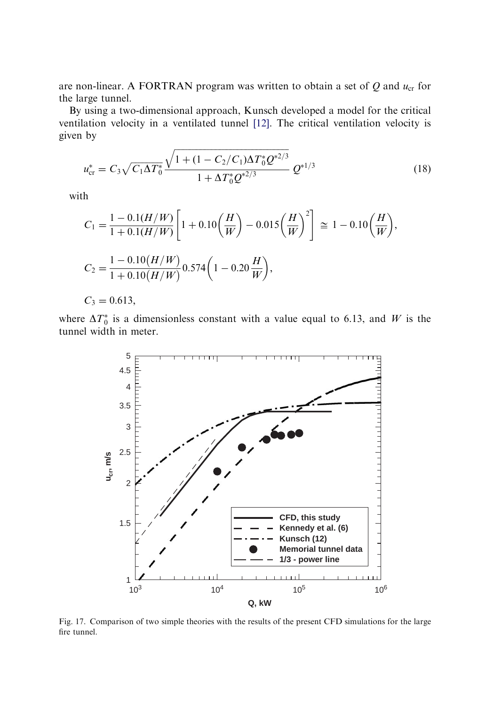<span id="page-28-0"></span>are non-linear. A FORTRAN program was written to obtain a set of  $Q$  and  $u_{cr}$  for the large tunnel.

By using a two-dimensional approach, Kunsch developed a model for the critical ventilation velocity in a ventilated tunnel [\[12\].](#page-31-0) The critical ventilation velocity is given by

$$
u_{\rm cr}^* = C_3 \sqrt{C_1 \Delta T_0^*} \frac{\sqrt{1 + (1 - C_2/C_1) \Delta T_0^* Q^{*2/3}}}{1 + \Delta T_0^* Q^{*2/3}} Q^{*1/3}
$$
(18)

with

$$
C_1 = \frac{1 - 0.1(H/W)}{1 + 0.1(H/W)} \left[ 1 + 0.10\left(\frac{H}{W}\right) - 0.015\left(\frac{H}{W}\right)^2 \right] \approx 1 - 0.10\left(\frac{H}{W}\right),
$$
  
\n
$$
C_2 = \frac{1 - 0.10(H/W)}{1 + 0.10(H/W)} 0.574 \left(1 - 0.20\frac{H}{W}\right),
$$
  
\n
$$
C_3 = 0.613,
$$

where  $\Delta T_0^*$  is a dimensionless constant with a value equal to 6.13, and W is the tunnel width in meter.



Fig. 17. Comparison of two simple theories with the results of the present CFD simulations for the large fire tunnel.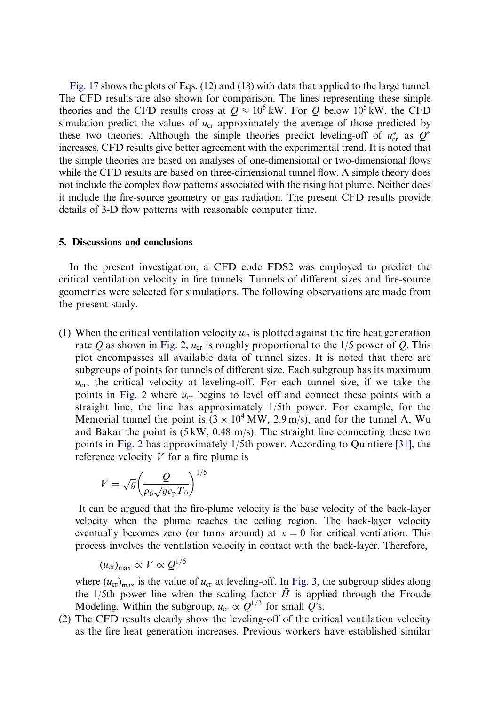[Fig. 17](#page-28-0) shows the plots of Eqs. (12) and (18) with data that applied to the large tunnel. The CFD results are also shown for comparison. The lines representing these simple theories and the CFD results cross at  $Q \approx 10^5$  kW. For Q below  $10^5$  kW, the CFD simulation predict the values of  $u_{cr}$  approximately the average of those predicted by these two theories. Although the simple theories predict leveling-off of  $u_{cr}^*$  as  $Q^*$ increases, CFD results give better agreement with the experimental trend. It is noted that the simple theories are based on analyses of one-dimensional or two-dimensional flows while the CFD results are based on three-dimensional tunnel flow. A simple theory does not include the complex flow patterns associated with the rising hot plume. Neither does it include the fire-source geometry or gas radiation. The present CFD results provide details of 3-D flow patterns with reasonable computer time.

#### 5. Discussions and conclusions

In the present investigation, a CFD code FDS2 was employed to predict the critical ventilation velocity in fire tunnels. Tunnels of different sizes and fire-source geometries were selected for simulations. The following observations are made from the present study.

(1) When the critical ventilation velocity  $u_{in}$  is plotted against the fire heat generation rate Q as shown in [Fig. 2,](#page-4-0)  $u_{cr}$  is roughly proportional to the 1/5 power of Q. This plot encompasses all available data of tunnel sizes. It is noted that there are subgroups of points for tunnels of different size. Each subgroup has its maximum  $u_{cr}$ , the critical velocity at leveling-off. For each tunnel size, if we take the points in [Fig. 2](#page-4-0) where  $u_{cr}$  begins to level off and connect these points with a straight line, the line has approximately 1/5th power. For example, for the Memorial tunnel the point is  $(3 \times 10^4 \text{ MW}, 2.9 \text{ m/s})$ , and for the tunnel A, Wu and Bakar the point is  $(5 \text{ kW}, 0.48 \text{ m/s})$ . The straight line connecting these two points in [Fig. 2](#page-4-0) has approximately 1/5th power. According to Quintiere [\[31\],](#page-31-0) the reference velocity  $V$  for a fire plume is

$$
V = \sqrt{g} \left( \frac{Q}{\rho_0 \sqrt{g} c_{\rm p} T_0} \right)^{1/5}
$$

It can be argued that the fire-plume velocity is the base velocity of the back-layer velocity when the plume reaches the ceiling region. The back-layer velocity eventually becomes zero (or turns around) at  $x = 0$  for critical ventilation. This process involves the ventilation velocity in contact with the back-layer. Therefore,

$$
(u_{\rm cr})_{\rm max} \propto V \propto Q^{1/5}
$$

where  $(u_{cr})_{max}$  is the value of  $u_{cr}$  at leveling-off. In [Fig. 3](#page-6-0), the subgroup slides along the 1/5th power line when the scaling factor  $\bar{H}$  is applied through the Froude Modeling. Within the subgroup,  $u_{cr} \propto Q^{1/3}$  for small Q's.

(2) The CFD results clearly show the leveling-off of the critical ventilation velocity as the fire heat generation increases. Previous workers have established similar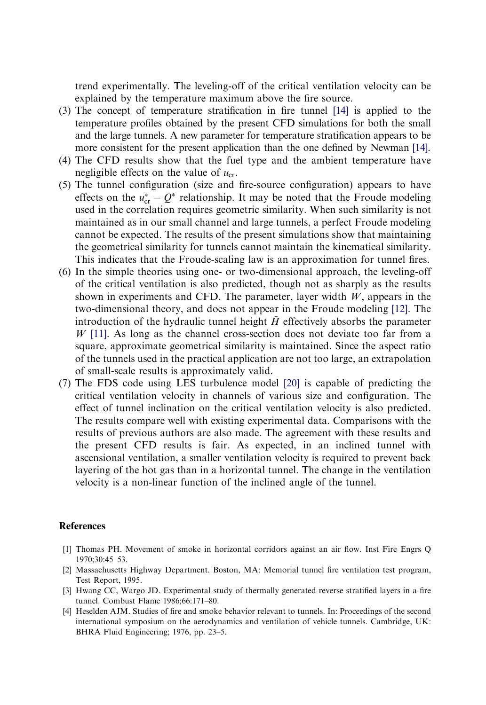<span id="page-30-0"></span>trend experimentally. The leveling-off of the critical ventilation velocity can be explained by the temperature maximum above the fire source.

- (3) The concept of temperature stratification in fire tunnel [\[14\]](#page-31-0) is applied to the temperature profiles obtained by the present CFD simulations for both the small and the large tunnels. A new parameter for temperature stratification appears to be more consistent for the present application than the one defined by Newman [\[14\]](#page-31-0).
- (4) The CFD results show that the fuel type and the ambient temperature have negligible effects on the value of  $u_{cr}$ .
- (5) The tunnel configuration (size and fire-source configuration) appears to have effects on the  $u_{cr}^* - Q^*$  relationship. It may be noted that the Froude modeling used in the correlation requires geometric similarity. When such similarity is not maintained as in our small channel and large tunnels, a perfect Froude modeling cannot be expected. The results of the present simulations show that maintaining the geometrical similarity for tunnels cannot maintain the kinematical similarity. This indicates that the Froude-scaling law is an approximation for tunnel fires.
- (6) In the simple theories using one- or two-dimensional approach, the leveling-off of the critical ventilation is also predicted, though not as sharply as the results shown in experiments and CFD. The parameter, layer width  $W$ , appears in the two-dimensional theory, and does not appear in the Froude modeling [\[12\].](#page-31-0) The introduction of the hydraulic tunnel height  $\bar{H}$  effectively absorbs the parameter  $W$  [\[11\].](#page-31-0) As long as the channel cross-section does not deviate too far from a square, approximate geometrical similarity is maintained. Since the aspect ratio of the tunnels used in the practical application are not too large, an extrapolation of small-scale results is approximately valid.
- (7) The FDS code using LES turbulence model [\[20\]](#page-31-0) is capable of predicting the critical ventilation velocity in channels of various size and configuration. The effect of tunnel inclination on the critical ventilation velocity is also predicted. The results compare well with existing experimental data. Comparisons with the results of previous authors are also made. The agreement with these results and the present CFD results is fair. As expected, in an inclined tunnel with ascensional ventilation, a smaller ventilation velocity is required to prevent back layering of the hot gas than in a horizontal tunnel. The change in the ventilation velocity is a non-linear function of the inclined angle of the tunnel.

#### References

- [1] Thomas PH. Movement of smoke in horizontal corridors against an air flow. Inst Fire Engrs Q 1970;30:45–53.
- [2] Massachusetts Highway Department. Boston, MA: Memorial tunnel fire ventilation test program, Test Report, 1995.
- [3] Hwang CC, Wargo JD. Experimental study of thermally generated reverse stratified layers in a fire tunnel. Combust Flame 1986;66:171–80.
- [4] Heselden AJM. Studies of fire and smoke behavior relevant to tunnels. In: Proceedings of the second international symposium on the aerodynamics and ventilation of vehicle tunnels. Cambridge, UK: BHRA Fluid Engineering; 1976, pp. 23–5.